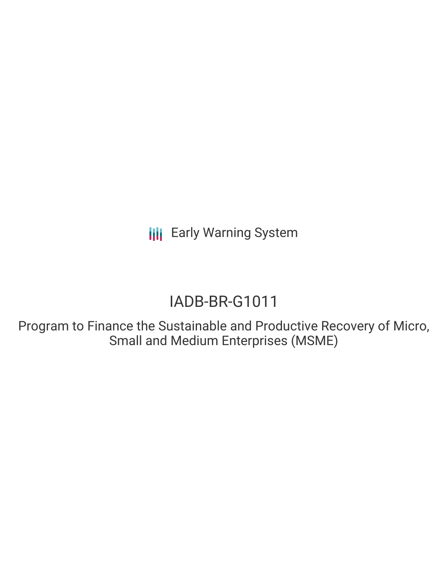**III** Early Warning System

# IADB-BR-G1011

Program to Finance the Sustainable and Productive Recovery of Micro, Small and Medium Enterprises (MSME)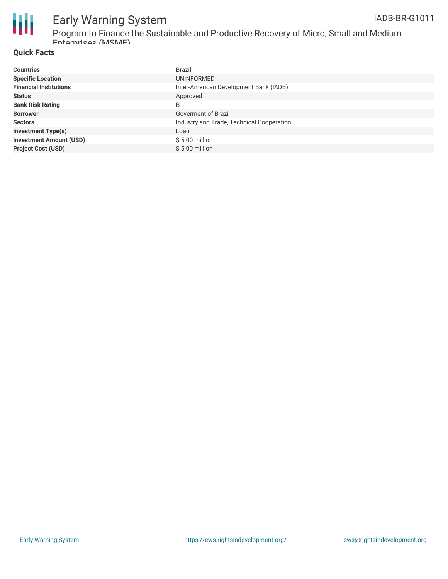

## Early Warning System

Program to Finance the Sustainable and Productive Recovery of Micro, Small and Medium Enterprises (MSME)

### **Quick Facts**

| <b>Countries</b>               | Brazil                                    |
|--------------------------------|-------------------------------------------|
| <b>Specific Location</b>       | UNINFORMED                                |
| <b>Financial Institutions</b>  | Inter-American Development Bank (IADB)    |
| <b>Status</b>                  | Approved                                  |
| <b>Bank Risk Rating</b>        | B                                         |
| <b>Borrower</b>                | Goverment of Brazil                       |
| <b>Sectors</b>                 | Industry and Trade, Technical Cooperation |
| <b>Investment Type(s)</b>      | Loan                                      |
| <b>Investment Amount (USD)</b> | $$5.00$ million                           |
| <b>Project Cost (USD)</b>      | $$5.00$ million                           |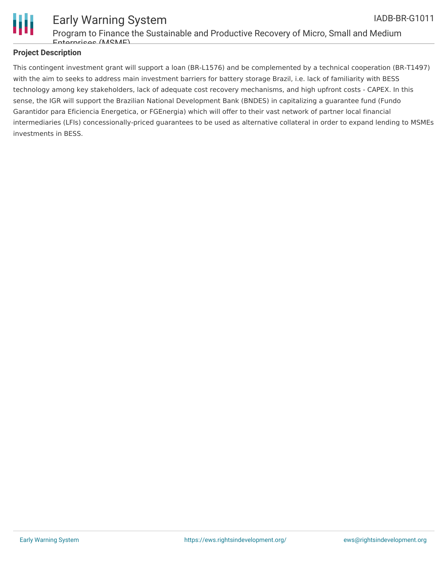

#### Early Warning System Program to Finance the Sustainable and Productive Recovery of Micro, Small and Medium Enterprises (MSME) IADB-BR-G1011

### **Project Description**

This contingent investment grant will support a loan (BR-L1576) and be complemented by a technical cooperation (BR-T1497) with the aim to seeks to address main investment barriers for battery storage Brazil, i.e. lack of familiarity with BESS technology among key stakeholders, lack of adequate cost recovery mechanisms, and high upfront costs - CAPEX. In this sense, the IGR will support the Brazilian National Development Bank (BNDES) in capitalizing a guarantee fund (Fundo Garantidor para Eficiencia Energetica, or FGEnergia) which will offer to their vast network of partner local financial intermediaries (LFIs) concessionally-priced guarantees to be used as alternative collateral in order to expand lending to MSMEs investments in BESS.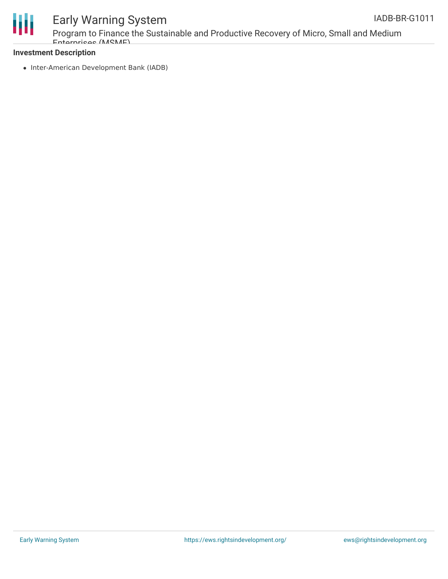



## Early Warning System

Program to Finance the Sustainable and Productive Recovery of Micro, Small and Medium Enterprises (MSME)

#### **Investment Description**

• Inter-American Development Bank (IADB)